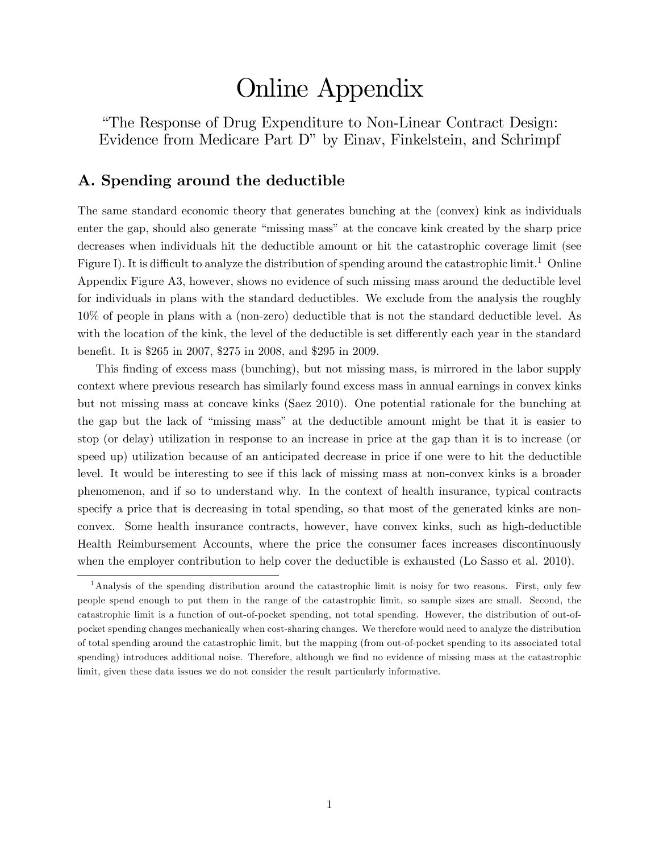# Online Appendix

ìThe Response of Drug Expenditure to Non-Linear Contract Design: Evidence from Medicare Part D" by Einav, Finkelstein, and Schrimpf

## A. Spending around the deductible

The same standard economic theory that generates bunching at the (convex) kink as individuals enter the gap, should also generate "missing mass" at the concave kink created by the sharp price decreases when individuals hit the deductible amount or hit the catastrophic coverage limit (see Figure I). It is difficult to analyze the distribution of spending around the catastrophic limit.<sup>1</sup> Online Appendix Figure A3, however, shows no evidence of such missing mass around the deductible level for individuals in plans with the standard deductibles. We exclude from the analysis the roughly 10% of people in plans with a (non-zero) deductible that is not the standard deductible level. As with the location of the kink, the level of the deductible is set differently each year in the standard benefit. It is \$265 in 2007, \$275 in 2008, and \$295 in 2009.

This finding of excess mass (bunching), but not missing mass, is mirrored in the labor supply context where previous research has similarly found excess mass in annual earnings in convex kinks but not missing mass at concave kinks (Saez 2010). One potential rationale for the bunching at the gap but the lack of "missing mass" at the deductible amount might be that it is easier to stop (or delay) utilization in response to an increase in price at the gap than it is to increase (or speed up) utilization because of an anticipated decrease in price if one were to hit the deductible level. It would be interesting to see if this lack of missing mass at non-convex kinks is a broader phenomenon, and if so to understand why. In the context of health insurance, typical contracts specify a price that is decreasing in total spending, so that most of the generated kinks are nonconvex. Some health insurance contracts, however, have convex kinks, such as high-deductible Health Reimbursement Accounts, where the price the consumer faces increases discontinuously when the employer contribution to help cover the deductible is exhausted (Lo Sasso et al. 2010).

<sup>1</sup>Analysis of the spending distribution around the catastrophic limit is noisy for two reasons. First, only few people spend enough to put them in the range of the catastrophic limit, so sample sizes are small. Second, the catastrophic limit is a function of out-of-pocket spending, not total spending. However, the distribution of out-ofpocket spending changes mechanically when cost-sharing changes. We therefore would need to analyze the distribution of total spending around the catastrophic limit, but the mapping (from out-of-pocket spending to its associated total spending) introduces additional noise. Therefore, although we find no evidence of missing mass at the catastrophic limit, given these data issues we do not consider the result particularly informative.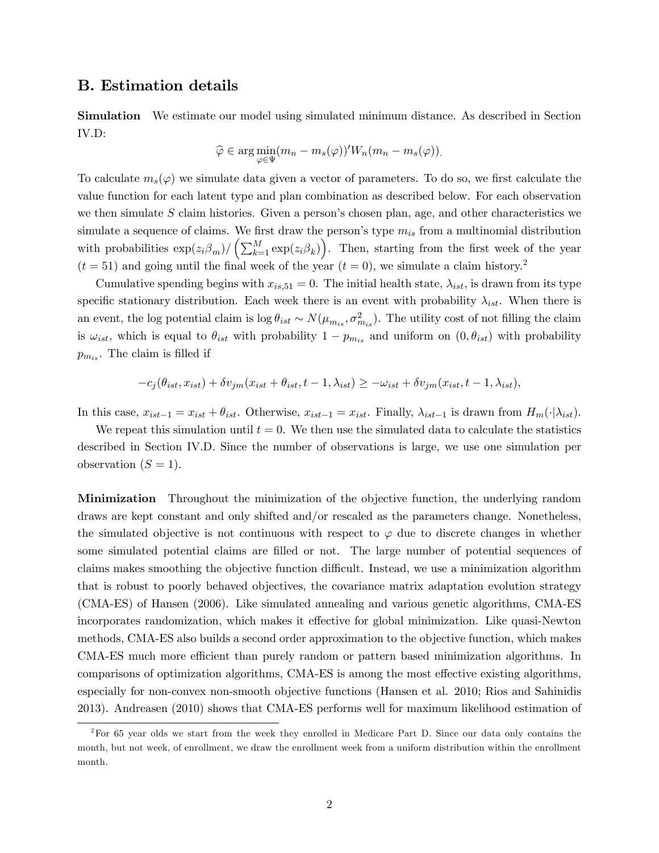### B. Estimation details

Simulation We estimate our model using simulated minimum distance. As described in Section IV.D:

$$
\widehat{\varphi} \in \arg \min_{\varphi \in \Psi} (m_n - m_s(\varphi))^t W_n(m_n - m_s(\varphi)).
$$

To calculate  $m_s(\varphi)$  we simulate data given a vector of parameters. To do so, we first calculate the value function for each latent type and plan combination as described below. For each observation we then simulate  $S$  claim histories. Given a person's chosen plan, age, and other characteristics we simulate a sequence of claims. We first draw the person's type  $m_{is}$  from a multinomial distribution with probabilities  $\exp(z_i \beta_m) / (\sum_{k=1}^M \exp(z_i \beta_k))$ . Then, starting from the first week of the year  $(t = 51)$  and going until the final week of the year  $(t = 0)$ , we simulate a claim history.<sup>2</sup>

Cumulative spending begins with  $x_{is,51} = 0$ . The initial health state,  $\lambda_{ist}$ , is drawn from its type specific stationary distribution. Each week there is an event with probability  $\lambda_{ist}$ . When there is an event, the log potential claim is  $\log \theta_{ist} \sim N(\mu_{m_{is}}, \sigma_{m_{is}}^2)$ . The utility cost of not filling the claim is  $\omega_{ist}$ , which is equal to  $\theta_{ist}$  with probability  $1 - p_{m_{is}}$  and uniform on  $(0, \theta_{ist})$  with probability  $p_{m_{is}}$ . The claim is filled if

$$
-c_j(\theta_{ist}, x_{ist}) + \delta v_{jm}(x_{ist} + \theta_{ist}, t-1, \lambda_{ist}) \ge -\omega_{ist} + \delta v_{jm}(x_{ist}, t-1, \lambda_{ist}),
$$

In this case,  $x_{ist-1} = x_{ist} + \theta_{ist}$ . Otherwise,  $x_{ist-1} = x_{ist}$ . Finally,  $\lambda_{ist-1}$  is drawn from  $H_m(\cdot|\lambda_{ist})$ .

We repeat this simulation until  $t = 0$ . We then use the simulated data to calculate the statistics described in Section IV.D. Since the number of observations is large, we use one simulation per observation  $(S = 1)$ .

Minimization Throughout the minimization of the objective function, the underlying random draws are kept constant and only shifted and/or rescaled as the parameters change. Nonetheless, the simulated objective is not continuous with respect to  $\varphi$  due to discrete changes in whether some simulated potential claims are filled or not. The large number of potential sequences of claims makes smoothing the objective function difficult. Instead, we use a minimization algorithm that is robust to poorly behaved objectives, the covariance matrix adaptation evolution strategy (CMA-ES) of Hansen (2006). Like simulated annealing and various genetic algorithms, CMA-ES incorporates randomization, which makes it effective for global minimization. Like quasi-Newton methods, CMA-ES also builds a second order approximation to the objective function, which makes CMA-ES much more efficient than purely random or pattern based minimization algorithms. In comparisons of optimization algorithms, CMA-ES is among the most effective existing algorithms, especially for non-convex non-smooth objective functions (Hansen et al. 2010; Rios and Sahinidis 2013). Andreasen (2010) shows that CMA-ES performs well for maximum likelihood estimation of

<sup>2</sup>For 65 year olds we start from the week they enrolled in Medicare Part D. Since our data only contains the month, but not week, of enrollment, we draw the enrollment week from a uniform distribution within the enrollment month.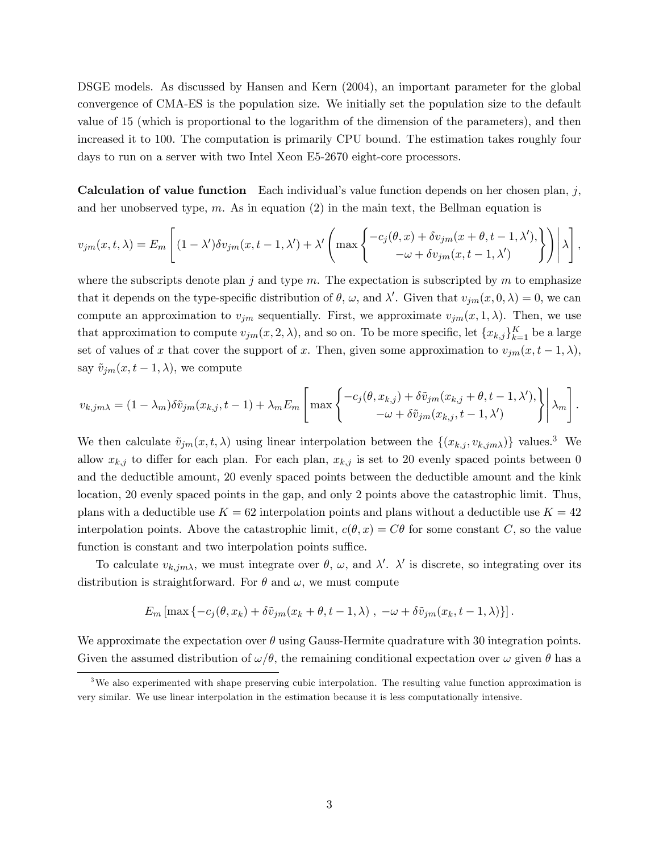DSGE models. As discussed by Hansen and Kern (2004), an important parameter for the global convergence of CMA-ES is the population size. We initially set the population size to the default value of 15 (which is proportional to the logarithm of the dimension of the parameters), and then increased it to 100. The computation is primarily CPU bound. The estimation takes roughly four days to run on a server with two Intel Xeon E5-2670 eight-core processors.

**Calculation of value function** Each individual's value function depends on her chosen plan,  $j$ , and her unobserved type,  $m$ . As in equation (2) in the main text, the Bellman equation is

$$
v_{jm}(x,t,\lambda) = E_m \left[ (1 - \lambda') \delta v_{jm}(x,t-1,\lambda') + \lambda' \left( \max \left\{ \begin{matrix} -c_j(\theta,x) + \delta v_{jm}(x+\theta,t-1,\lambda'), \\ -\omega + \delta v_{jm}(x,t-1,\lambda') \end{matrix} \right\} \right) \middle| \lambda \right],
$$

where the subscripts denote plan j and type m. The expectation is subscripted by m to emphasize that it depends on the type-specific distribution of  $\theta$ ,  $\omega$ , and  $\lambda'$ . Given that  $v_{jm}(x,0,\lambda) = 0$ , we can compute an approximation to  $v_{jm}$  sequentially. First, we approximate  $v_{jm}(x,1,\lambda)$ . Then, we use that approximation to compute  $v_{jm}(x, 2, \lambda)$ , and so on. To be more specific, let  $\{x_{k,j}\}_{k=1}^K$  be a large set of values of x that cover the support of x. Then, given some approximation to  $v_{jm}(x, t-1, \lambda)$ , say  $\tilde{v}_{jm}(x, t - 1, \lambda)$ , we compute

$$
v_{k,jm\lambda} = (1 - \lambda_m)\delta\tilde{v}_{jm}(x_{k,j}, t-1) + \lambda_m E_m \left[ \max \left\{ \begin{matrix} -c_j(\theta, x_{k,j}) + \delta\tilde{v}_{jm}(x_{k,j} + \theta, t-1, \lambda'), \\ -\omega + \delta\tilde{v}_{jm}(x_{k,j}, t-1, \lambda') \end{matrix} \right\} \middle| \lambda_m \right].
$$

We then calculate  $\tilde{v}_{jm}(x, t, \lambda)$  using linear interpolation between the  $\{(x_{k,j}, v_{k,jm\lambda})\}$  values.<sup>3</sup> We allow  $x_{k,j}$  to differ for each plan. For each plan,  $x_{k,j}$  is set to 20 evenly spaced points between 0 and the deductible amount, 20 evenly spaced points between the deductible amount and the kink location, 20 evenly spaced points in the gap, and only 2 points above the catastrophic limit. Thus, plans with a deductible use  $K = 62$  interpolation points and plans without a deductible use  $K = 42$ interpolation points. Above the catastrophic limit,  $c(\theta, x) = C\theta$  for some constant C, so the value function is constant and two interpolation points suffice.

To calculate  $v_{k,jm\lambda}$ , we must integrate over  $\theta$ ,  $\omega$ , and  $\lambda'$ .  $\lambda'$  is discrete, so integrating over its distribution is straightforward. For  $\theta$  and  $\omega$ , we must compute

$$
E_m\left[\max\left\{-c_j(\theta, x_k) + \delta \tilde{v}_{jm}(x_k + \theta, t - 1, \lambda)\right\},\ -\omega + \delta \tilde{v}_{jm}(x_k, t - 1, \lambda)\right\}].
$$

We approximate the expectation over  $\theta$  using Gauss-Hermite quadrature with 30 integration points. Given the assumed distribution of  $\omega/\theta$ , the remaining conditional expectation over  $\omega$  given  $\theta$  has a

<sup>&</sup>lt;sup>3</sup>We also experimented with shape preserving cubic interpolation. The resulting value function approximation is very similar. We use linear interpolation in the estimation because it is less computationally intensive.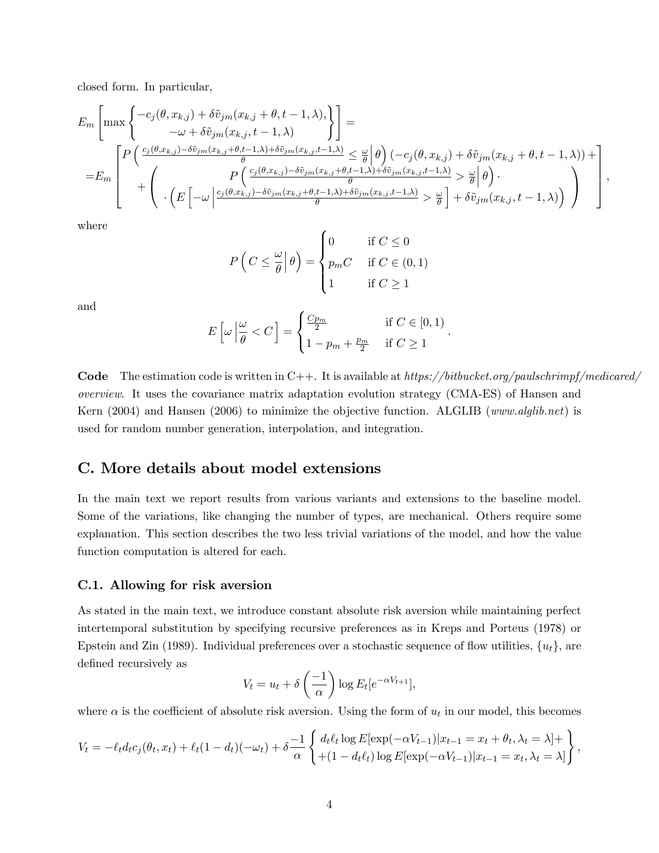closed form. In particular,

$$
E_m\left[\max\left\{\frac{-c_j(\theta, x_{k,j}) + \delta\tilde{v}_{jm}(x_{k,j} + \theta, t - 1, \lambda)}{-\omega + \delta\tilde{v}_{jm}(x_{k,j}, t - 1, \lambda)}\right\}\right] =
$$
  
\n
$$
= E_m\left[\frac{P\left(\frac{c_j(\theta, x_{k,j}) - \delta\tilde{v}_{jm}(x_{k,j} + \theta, t - 1, \lambda) + \delta\tilde{v}_{jm}(x_{k,j}, t - 1, \lambda)}{\theta} \leq \frac{\omega}{\theta}\right|\theta\right)\left(-c_j(\theta, x_{k,j}) + \delta\tilde{v}_{jm}(x_{k,j} + \theta, t - 1, \lambda)\right) +
$$
  
\n
$$
= E_m\left[\frac{P\left(\frac{c_j(\theta, x_{k,j}) - \delta\tilde{v}_{jm}(x_{k,j}, t - 1, \lambda)}{\theta} \leq \frac{\omega}{\theta}\right|\theta\right)\cdot\left(\frac{c_j(\theta, x_{k,j}) - \delta\tilde{v}_{jm}(x_{k,j} + \theta, t - 1, \lambda) + \delta\tilde{v}_{jm}(x_{k,j}, t - 1, \lambda)}{\theta} \geq \frac{\omega}{\theta}\right] + \delta\tilde{v}_{jm}(x_{k,j}, t - 1, \lambda)\right)\right]
$$

;

where

$$
P\left(C \leq \frac{\omega}{\theta} \middle| \theta\right) = \begin{cases} 0 & \text{if } C \leq 0 \\ p_m C & \text{if } C \in (0,1) \\ 1 & \text{if } C \geq 1 \end{cases}
$$

and

$$
E\left[\omega \left|\frac{\omega}{\theta} < C\right.\right] = \begin{cases} \frac{Cp_m}{2} & \text{if } C \in [0,1) \\ 1 - p_m + \frac{p_m}{2} & \text{if } C \ge 1 \end{cases}.
$$

**Code** The estimation code is written in C++. It is available at  $https://bitbucket.org/paulschrimpf/medicared/$ overview. It uses the covariance matrix adaptation evolution strategy (CMA-ES) of Hansen and Kern (2004) and Hansen (2006) to minimize the objective function. ALGLIB (www.alglib.net) is used for random number generation, interpolation, and integration.

#### C. More details about model extensions

In the main text we report results from various variants and extensions to the baseline model. Some of the variations, like changing the number of types, are mechanical. Others require some explanation. This section describes the two less trivial variations of the model, and how the value function computation is altered for each.

#### C.1. Allowing for risk aversion

As stated in the main text, we introduce constant absolute risk aversion while maintaining perfect intertemporal substitution by specifying recursive preferences as in Kreps and Porteus (1978) or Epstein and Zin (1989). Individual preferences over a stochastic sequence of flow utilities,  $\{u_t\}$ , are defined recursively as

$$
V_t = u_t + \delta\left(\frac{-1}{\alpha}\right) \log E_t[e^{-\alpha V_{t+1}}],
$$

where  $\alpha$  is the coefficient of absolute risk aversion. Using the form of  $u_t$  in our model, this becomes

$$
V_t = -\ell_t d_t c_j(\theta_t, x_t) + \ell_t (1 - d_t)(-\omega_t) + \delta \frac{-1}{\alpha} \left\{ \frac{d_t \ell_t \log E[\exp(-\alpha V_{t-1}) | x_{t-1} = x_t + \theta_t, \lambda_t = \lambda] + \atop + (1 - d_t \ell_t) \log E[\exp(-\alpha V_{t-1}) | x_{t-1} = x_t, \lambda_t = \lambda] \right\},
$$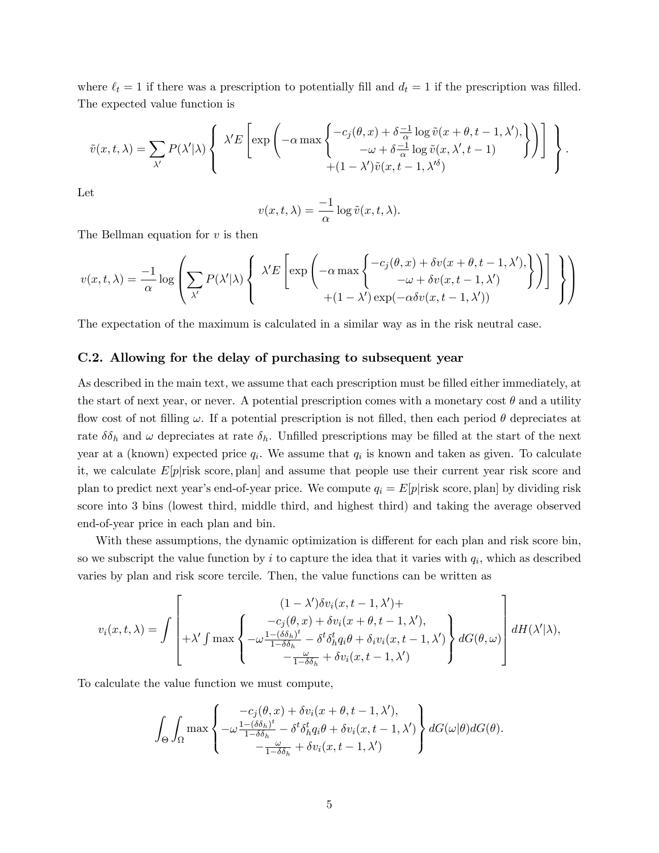where  $\ell_t = 1$  if there was a prescription to potentially fill and  $d_t = 1$  if the prescription was filled. The expected value function is

$$
\tilde{v}(x,t,\lambda) = \sum_{\lambda'} P(\lambda'|\lambda) \left\{ \begin{array}{c} \lambda' E \left[ \exp \left( -\alpha \max \left\{ -c_j(\theta,x) + \delta \frac{-1}{\alpha} \log \tilde{v}(x+\theta,t-1,\lambda'), \atop -\omega + \delta \frac{-1}{\alpha} \log \tilde{v}(x,\lambda',t-1) \right\} \right) \right] \\ + (1-\lambda') \tilde{v}(x,t-1,\lambda'^{\delta}) \end{array} \right\}.
$$

Let

$$
v(x, t, \lambda) = \frac{-1}{\alpha} \log \tilde{v}(x, t, \lambda).
$$

The Bellman equation for  $v$  is then

$$
v(x,t,\lambda) = \frac{-1}{\alpha} \log \left( \sum_{\lambda'} P(\lambda'|\lambda) \left\{ \begin{array}{c} \lambda' E \left[ \exp \left( -\alpha \max \left\{ -c_j(\theta,x) + \delta v(x+\theta,t-1,\lambda'), \\ -\omega + \delta v(x,t-1,\lambda') \right. \\ \left. + (1-\lambda') \exp(-\alpha \delta v(x,t-1,\lambda')) \right. \right) \end{array} \right) \right\} \right)
$$

The expectation of the maximum is calculated in a similar way as in the risk neutral case.

#### C.2. Allowing for the delay of purchasing to subsequent year

As described in the main text, we assume that each prescription must be filled either immediately, at the start of next year, or never. A potential prescription comes with a monetary cost  $\theta$  and a utility flow cost of not filling  $\omega$ . If a potential prescription is not filled, then each period  $\theta$  depreciates at rate  $\delta \delta_h$  and  $\omega$  depreciates at rate  $\delta_h$ . Unfilled prescriptions may be filled at the start of the next year at a (known) expected price  $q_i$ . We assume that  $q_i$  is known and taken as given. To calculate it, we calculate  $E[p]$ risk score, plan and assume that people use their current year risk score and plan to predict next year's end-of-year price. We compute  $q_i = E[p]$ risk score, plan by dividing risk score into 3 bins (lowest third, middle third, and highest third) and taking the average observed end-of-year price in each plan and bin.

With these assumptions, the dynamic optimization is different for each plan and risk score bin, so we subscript the value function by  $i$  to capture the idea that it varies with  $q_i$ , which as described varies by plan and risk score tercile. Then, the value functions can be written as

$$
v_i(x,t,\lambda) = \int \left[ \begin{matrix} (1-\lambda')\delta v_i(x,t-1,\lambda') + \\ -c_j(\theta,x) + \delta v_i(x+\theta,t-1,\lambda'), \\ +\lambda' \int \max \left\{ -\omega \frac{1-(\delta \delta_h)^t}{1-\delta \delta_h} - \delta^t \delta_h^t q_i \theta + \delta_i v_i(x,t-1,\lambda') \right\} dG(\theta,\omega) \\ -\frac{\omega}{1-\delta \delta_h} + \delta v_i(x,t-1,\lambda') \end{matrix} \right\} dG(\theta,\omega) \right] dH(\lambda'|\lambda),
$$

To calculate the value function we must compute,

$$
\int_{\Theta} \int_{\Omega} \max \left\{ \begin{array}{c} -c_j(\theta, x) + \delta v_i(x + \theta, t - 1, \lambda'), \\ -\omega \frac{1 - (\delta \delta_h)^t}{1 - \delta \delta_h} - \delta^t \delta_h^t q_i \theta + \delta v_i(x, t - 1, \lambda') \\ -\frac{\omega}{1 - \delta \delta_h} + \delta v_i(x, t - 1, \lambda') \end{array} \right\} dG(\omega | \theta) dG(\theta).
$$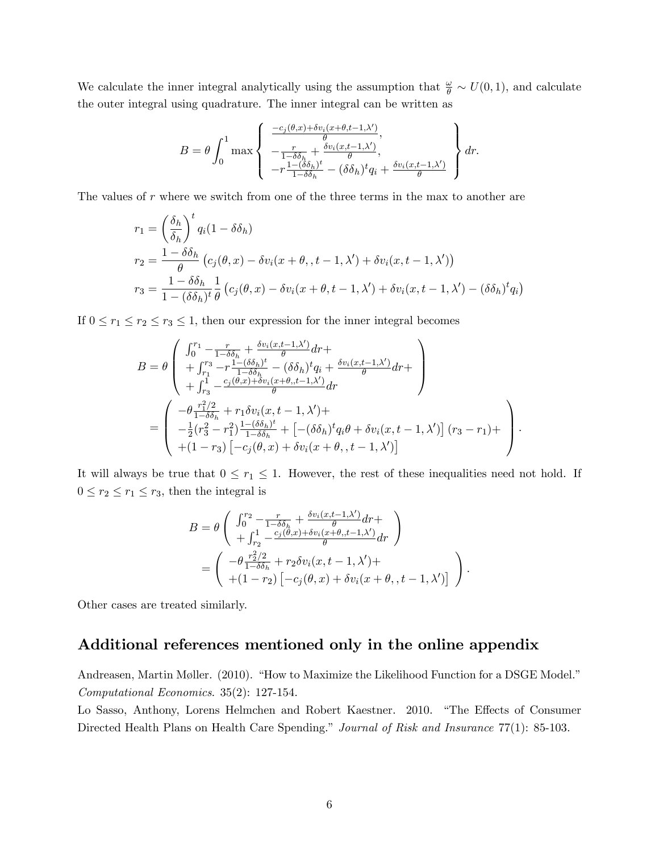We calculate the inner integral analytically using the assumption that  $\frac{\omega}{\theta} \sim U(0, 1)$ , and calculate the outer integral using quadrature. The inner integral can be written as

$$
B = \theta \int_0^1 \max \left\{ \begin{array}{l} \frac{-c_j(\theta, x) + \delta v_i(x + \theta, t - 1, \lambda')}{\theta}, \\ -\frac{r}{1 - \delta \delta_h} + \frac{\delta v_i(x, t - 1, \lambda')}{\theta}, \\ -r \frac{1 - (\delta \delta_h)^t}{1 - \delta \delta_h} - (\delta \delta_h)^t q_i + \frac{\delta v_i(x, t - 1, \lambda')}{\theta} \end{array} \right\} dr.
$$

The values of r where we switch from one of the three terms in the max to another are

$$
r_1 = \left(\frac{\delta_h}{\delta_h}\right)^t q_i (1 - \delta \delta_h)
$$
  
\n
$$
r_2 = \frac{1 - \delta \delta_h}{\theta} \left(c_j(\theta, x) - \delta v_i(x + \theta, t - 1, \lambda') + \delta v_i(x, t - 1, \lambda')\right)
$$
  
\n
$$
r_3 = \frac{1 - \delta \delta_h}{1 - (\delta \delta_h)^t} \frac{1}{\theta} \left(c_j(\theta, x) - \delta v_i(x + \theta, t - 1, \lambda') + \delta v_i(x, t - 1, \lambda') - (\delta \delta_h)^t q_i\right)
$$

If  $0 \le r_1 \le r_2 \le r_3 \le 1$ , then our expression for the inner integral becomes

$$
B = \theta \begin{pmatrix} \int_0^{r_1} -\frac{r}{1-\delta\delta_h} + \frac{\delta v_i(x,t-1,\lambda')}{\theta} dr + \\ +\int_{r_1}^{r_3} -r\frac{1-(\delta\delta_h)^t}{1-\delta\delta_h} - (\delta\delta_h)^t q_i + \frac{\delta v_i(x,t-1,\lambda')}{\theta} dr + \\ +\int_{r_3}^1 -\frac{c_j(\theta,x)+\delta v_i(x+\theta,t-1,\lambda')}{\theta} dr \end{pmatrix}
$$
  
= 
$$
\begin{pmatrix} -\theta \frac{r_1^2/2}{1-\delta\delta_h} + r_1 \delta v_i(x,t-1,\lambda') + \\ -\frac{1}{2} (r_3^2 - r_1^2) \frac{1-(\delta\delta_h)^t}{1-\delta\delta_h} + \left[ -(\delta\delta_h)^t q_i \theta + \delta v_i(x,t-1,\lambda') \right] (r_3 - r_1) + \\ + (1 - r_3) \left[ -c_j(\theta,x) + \delta v_i(x + \theta,, t - 1, \lambda') \right] \end{pmatrix} .
$$

It will always be true that  $0 \leq r_1 \leq 1$ . However, the rest of these inequalities need not hold. If  $0 \leq r_2 \leq r_1 \leq r_3$ , then the integral is

$$
B = \theta \left( \begin{array}{c} \int_0^{r_2} -\frac{r}{1-\delta\delta_h} + \frac{\delta v_i(x, t-1, \lambda')}{\theta} dr + \\ + \int_{r_2}^1 -\frac{c_j(\theta, x) + \delta v_i(x + \theta, t-1, \lambda')}{\theta} dr \end{array} \right)
$$
  
= 
$$
\left( \begin{array}{c} -\theta \frac{r_2^2/2}{1-\delta\delta_h} + r_2 \delta v_i(x, t-1, \lambda') + \\ + (1-r_2) \left[ -c_j(\theta, x) + \delta v_i(x + \theta, t-1, \lambda') \right] \end{array} \right).
$$

Other cases are treated similarly.

## Additional references mentioned only in the online appendix

Andreasen, Martin Møller. (2010). "How to Maximize the Likelihood Function for a DSGE Model." Computational Economics. 35(2): 127-154.

Lo Sasso, Anthony, Lorens Helmchen and Robert Kaestner. 2010. "The Effects of Consumer Directed Health Plans on Health Care Spending." Journal of Risk and Insurance 77(1): 85-103.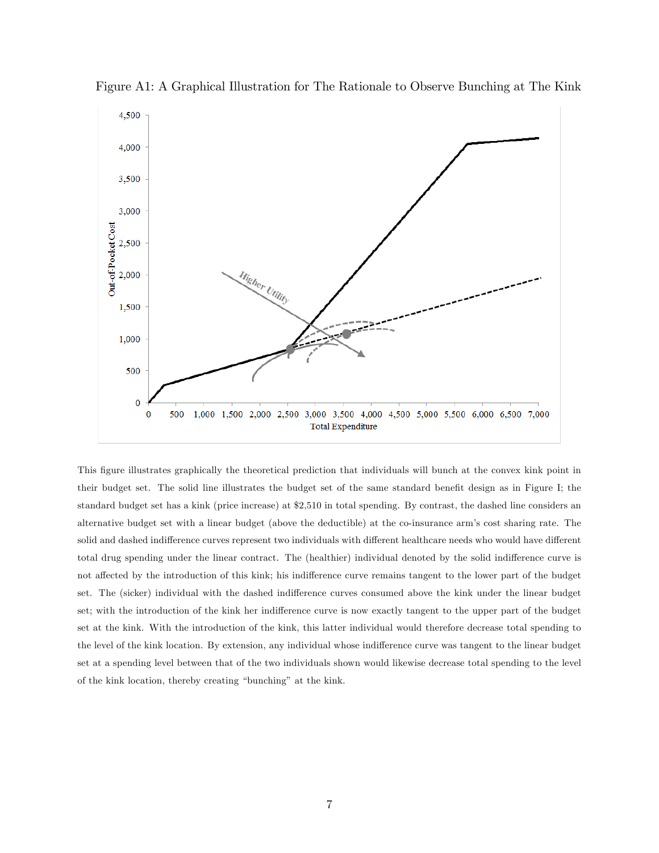

Figure A1: A Graphical Illustration for The Rationale to Observe Bunching at The Kink

This Ögure illustrates graphically the theoretical prediction that individuals will bunch at the convex kink point in their budget set. The solid line illustrates the budget set of the same standard benefit design as in Figure I; the standard budget set has a kink (price increase) at \$2,510 in total spending. By contrast, the dashed line considers an alternative budget set with a linear budget (above the deductible) at the co-insurance armís cost sharing rate. The solid and dashed indifference curves represent two individuals with different healthcare needs who would have different total drug spending under the linear contract. The (healthier) individual denoted by the solid indifference curve is not affected by the introduction of this kink; his indifference curve remains tangent to the lower part of the budget set. The (sicker) individual with the dashed indifference curves consumed above the kink under the linear budget set; with the introduction of the kink her indifference curve is now exactly tangent to the upper part of the budget set at the kink. With the introduction of the kink, this latter individual would therefore decrease total spending to the level of the kink location. By extension, any individual whose indifference curve was tangent to the linear budget set at a spending level between that of the two individuals shown would likewise decrease total spending to the level of the kink location, thereby creating "bunching" at the kink.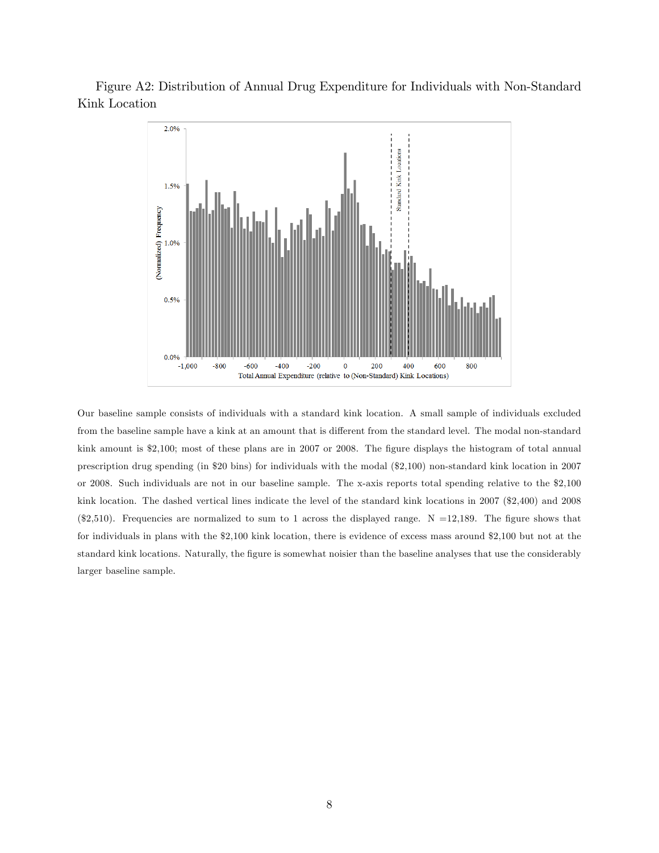Figure A2: Distribution of Annual Drug Expenditure for Individuals with Non-Standard Kink Location



Our baseline sample consists of individuals with a standard kink location. A small sample of individuals excluded from the baseline sample have a kink at an amount that is different from the standard level. The modal non-standard kink amount is \$2,100; most of these plans are in 2007 or 2008. The figure displays the histogram of total annual prescription drug spending (in \$20 bins) for individuals with the modal (\$2,100) non-standard kink location in 2007 or 2008. Such individuals are not in our baseline sample. The x-axis reports total spending relative to the \$2,100 kink location. The dashed vertical lines indicate the level of the standard kink locations in 2007 (\$2,400) and 2008 (\$2,510). Frequencies are normalized to sum to 1 across the displayed range.  $N = 12,189$ . The figure shows that for individuals in plans with the \$2,100 kink location, there is evidence of excess mass around \$2,100 but not at the standard kink locations. Naturally, the figure is somewhat noisier than the baseline analyses that use the considerably larger baseline sample.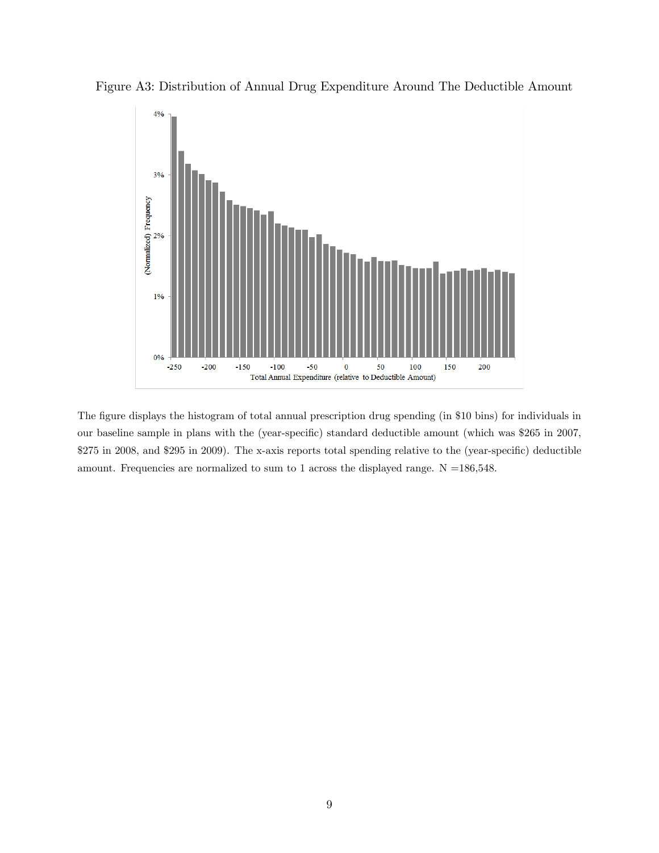

Figure A3: Distribution of Annual Drug Expenditure Around The Deductible Amount

The figure displays the histogram of total annual prescription drug spending (in \$10 bins) for individuals in our baseline sample in plans with the (year-specific) standard deductible amount (which was \$265 in 2007, \$275 in 2008, and \$295 in 2009). The x-axis reports total spending relative to the (year-specific) deductible amount. Frequencies are normalized to sum to 1 across the displayed range.  $N = 186,548$ .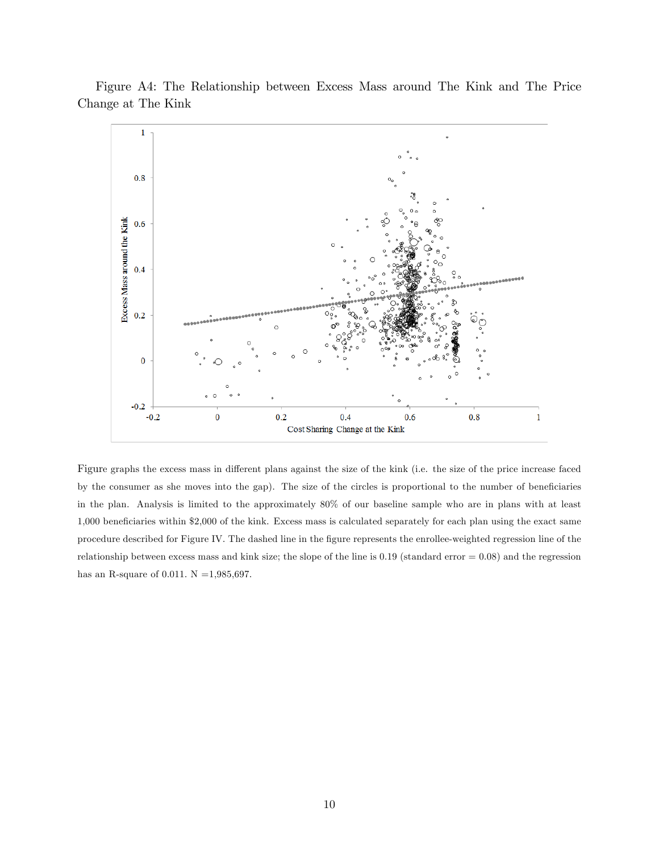

Figure A4: The Relationship between Excess Mass around The Kink and The Price Change at The Kink

Figure graphs the excess mass in different plans against the size of the kink (i.e. the size of the price increase faced by the consumer as she moves into the gap). The size of the circles is proportional to the number of beneficiaries in the plan. Analysis is limited to the approximately 80% of our baseline sample who are in plans with at least 1,000 beneficiaries within \$2,000 of the kink. Excess mass is calculated separately for each plan using the exact same procedure described for Figure IV. The dashed line in the figure represents the enrollee-weighted regression line of the relationship between excess mass and kink size; the slope of the line is  $0.19$  (standard error  $= 0.08$ ) and the regression has an R-square of 0.011.  $N = 1,985,697$ .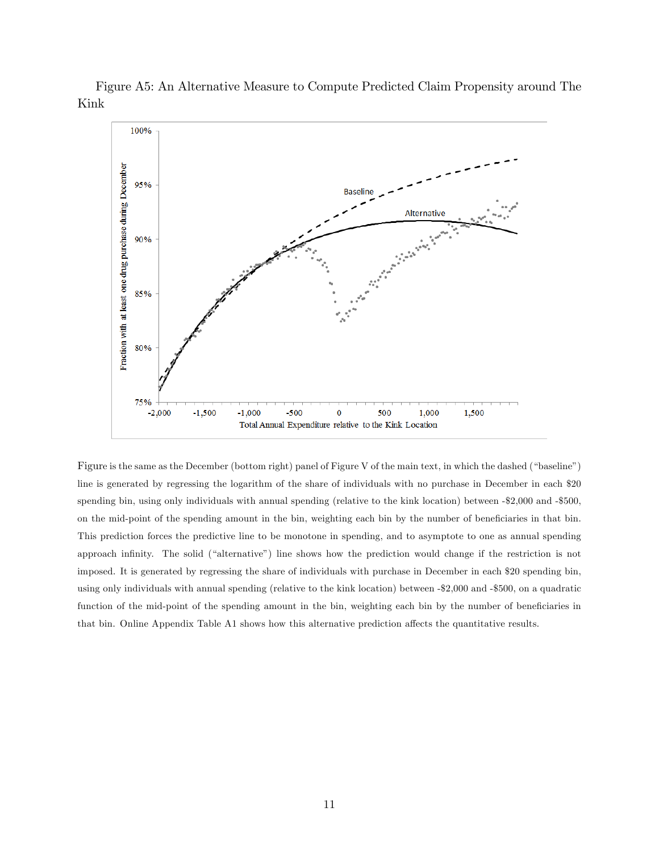

Figure A5: An Alternative Measure to Compute Predicted Claim Propensity around The Kink

Figure is the same as the December (bottom right) panel of Figure V of the main text, in which the dashed ("baseline") line is generated by regressing the logarithm of the share of individuals with no purchase in December in each \$20 spending bin, using only individuals with annual spending (relative to the kink location) between -\$2,000 and -\$500, on the mid-point of the spending amount in the bin, weighting each bin by the number of beneficiaries in that bin. This prediction forces the predictive line to be monotone in spending, and to asymptote to one as annual spending approach infinity. The solid ("alternative") line shows how the prediction would change if the restriction is not imposed. It is generated by regressing the share of individuals with purchase in December in each \$20 spending bin, using only individuals with annual spending (relative to the kink location) between -\$2,000 and -\$500, on a quadratic function of the mid-point of the spending amount in the bin, weighting each bin by the number of beneficiaries in that bin. Online Appendix Table A1 shows how this alternative prediction affects the quantitative results.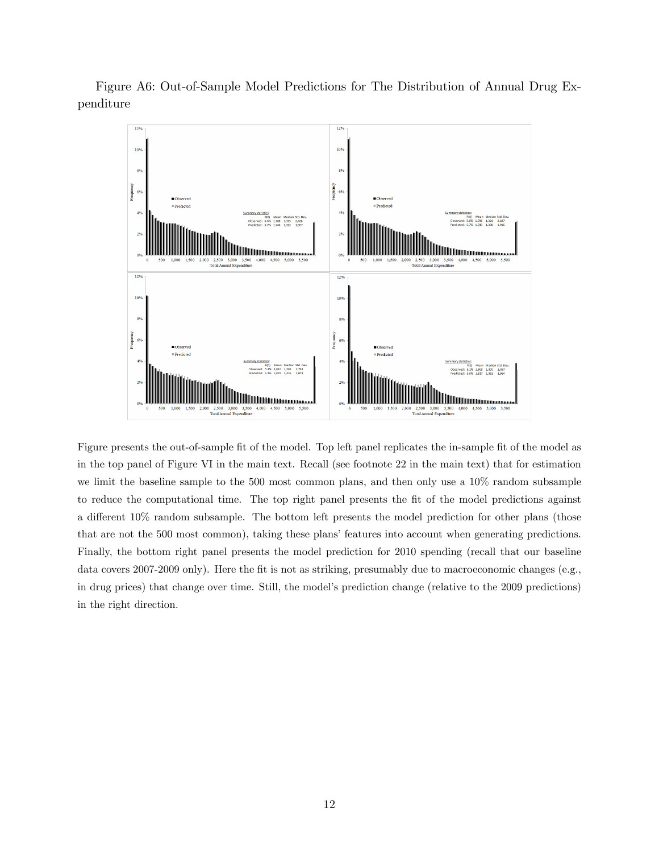



Figure presents the out-of-sample fit of the model. Top left panel replicates the in-sample fit of the model as in the top panel of Figure VI in the main text. Recall (see footnote 22 in the main text) that for estimation we limit the baseline sample to the 500 most common plans, and then only use a 10% random subsample to reduce the computational time. The top right panel presents the fit of the model predictions against a different  $10\%$  random subsample. The bottom left presents the model prediction for other plans (those that are not the 500 most common), taking these plans' features into account when generating predictions. Finally, the bottom right panel presents the model prediction for 2010 spending (recall that our baseline data covers 2007-2009 only). Here the fit is not as striking, presumably due to macroeconomic changes (e.g., in drug prices) that change over time. Still, the model's prediction change (relative to the 2009 predictions) in the right direction.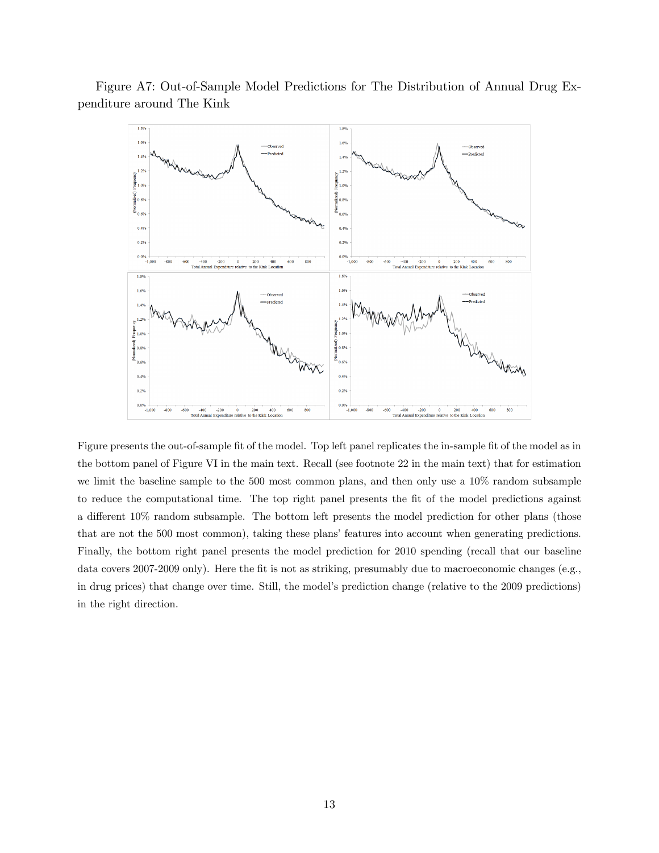



Figure presents the out-of-sample fit of the model. Top left panel replicates the in-sample fit of the model as in the bottom panel of Figure VI in the main text. Recall (see footnote 22 in the main text) that for estimation we limit the baseline sample to the 500 most common plans, and then only use a 10% random subsample to reduce the computational time. The top right panel presents the fit of the model predictions against a different  $10\%$  random subsample. The bottom left presents the model prediction for other plans (those that are not the 500 most common), taking these plans' features into account when generating predictions. Finally, the bottom right panel presents the model prediction for 2010 spending (recall that our baseline data covers 2007-2009 only). Here the fit is not as striking, presumably due to macroeconomic changes (e.g., in drug prices) that change over time. Still, the model's prediction change (relative to the 2009 predictions) in the right direction.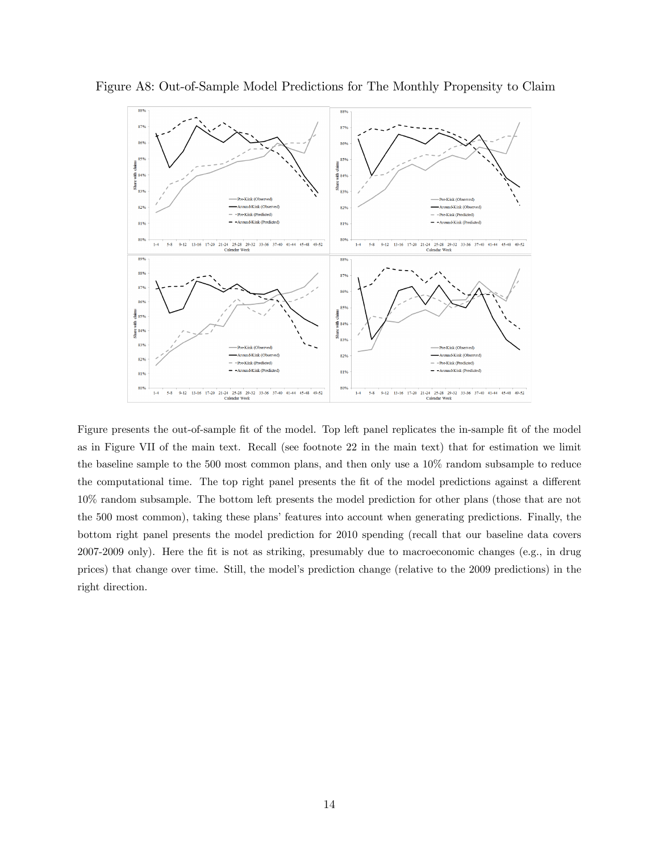

Figure A8: Out-of-Sample Model Predictions for The Monthly Propensity to Claim

Figure presents the out-of-sample fit of the model. Top left panel replicates the in-sample fit of the model as in Figure VII of the main text. Recall (see footnote 22 in the main text) that for estimation we limit the baseline sample to the 500 most common plans, and then only use a 10% random subsample to reduce the computational time. The top right panel presents the fit of the model predictions against a different 10% random subsample. The bottom left presents the model prediction for other plans (those that are not the 500 most common), taking these plans' features into account when generating predictions. Finally, the bottom right panel presents the model prediction for 2010 spending (recall that our baseline data covers 2007-2009 only). Here the Öt is not as striking, presumably due to macroeconomic changes (e.g., in drug prices) that change over time. Still, the modelís prediction change (relative to the 2009 predictions) in the right direction.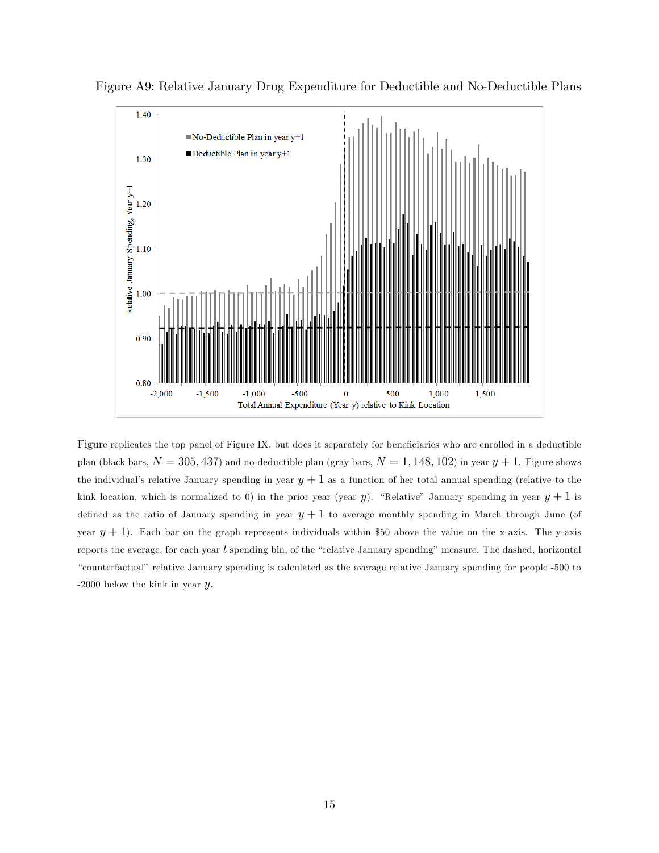

Figure A9: Relative January Drug Expenditure for Deductible and No-Deductible Plans

Figure replicates the top panel of Figure IX, but does it separately for beneficiaries who are enrolled in a deductible plan (black bars,  $N = 305, 437$ ) and no-deductible plan (gray bars,  $N = 1, 148, 102$ ) in year  $y + 1$ . Figure shows the individual's relative January spending in year  $y + 1$  as a function of her total annual spending (relative to the kink location, which is normalized to 0) in the prior year (year y). "Relative" January spending in year  $y + 1$  is defined as the ratio of January spending in year  $y + 1$  to average monthly spending in March through June (of year  $y + 1$ ). Each bar on the graph represents individuals within \$50 above the value on the x-axis. The y-axis reports the average, for each year  $t$  spending bin, of the "relative January spending" measure. The dashed, horizontal ìcounterfactualî relative January spending is calculated as the average relative January spending for people -500 to -2000 below the kink in year  $y$ .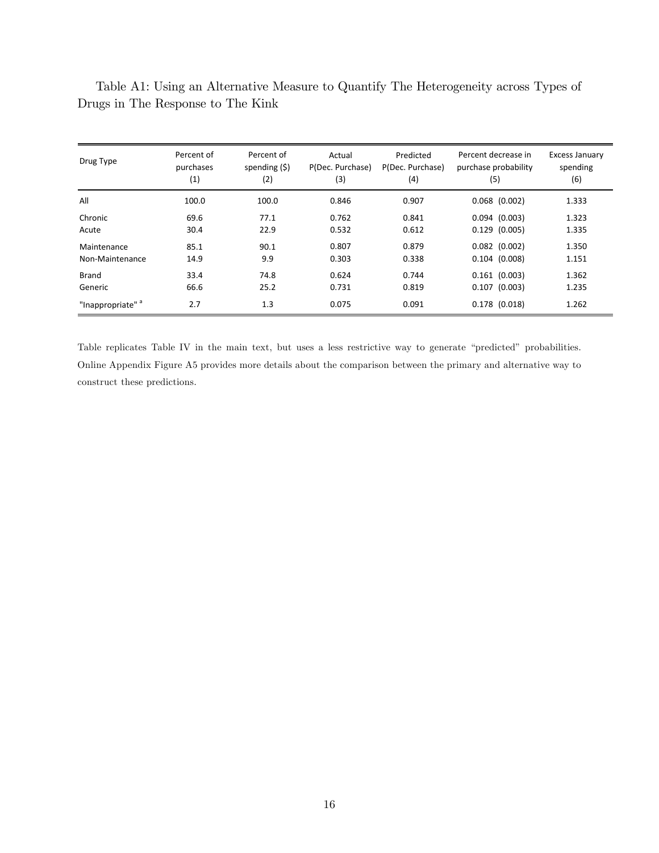| Drug Type                    | Percent of<br>purchases<br>(1) | Percent of<br>spending $(5)$<br>(2) | Actual<br>P(Dec. Purchase)<br>(3) | Predicted<br>P(Dec. Purchase)<br>(4) | Percent decrease in<br>purchase probability<br>(5) | Excess January<br>spending<br>(6) |
|------------------------------|--------------------------------|-------------------------------------|-----------------------------------|--------------------------------------|----------------------------------------------------|-----------------------------------|
| All                          | 100.0                          | 100.0                               | 0.846                             | 0.907                                | $0.068$ $(0.002)$                                  | 1.333                             |
| Chronic                      | 69.6                           | 77.1                                | 0.762                             | 0.841                                | $0.094$ $(0.003)$                                  | 1.323                             |
| Acute                        | 30.4                           | 22.9                                | 0.532                             | 0.612                                | $0.129$ $(0.005)$                                  | 1.335                             |
| Maintenance                  | 85.1                           | 90.1                                | 0.807                             | 0.879                                | $0.082$ $(0.002)$                                  | 1.350                             |
| Non-Maintenance              | 14.9                           | 9.9                                 | 0.303                             | 0.338                                | $0.104$ $(0.008)$                                  | 1.151                             |
| Brand                        | 33.4                           | 74.8                                | 0.624                             | 0.744                                | $0.161$ $(0.003)$                                  | 1.362                             |
| Generic                      | 66.6                           | 25.2                                | 0.731                             | 0.819                                | $0.107$ $(0.003)$                                  | 1.235                             |
| "Inappropriate" <sup>a</sup> | 2.7                            | 1.3                                 | 0.075                             | 0.091                                | $0.178$ (0.018)                                    | 1.262                             |

Table A1: Using an Alternative Measure to Quantify The Heterogeneity across Types of Drugs in The Response to The Kink

Table replicates Table IV in the main text, but uses a less restrictive way to generate "predicted" probabilities. Online Appendix Figure A5 provides more details about the comparison between the primary and alternative way to construct these predictions.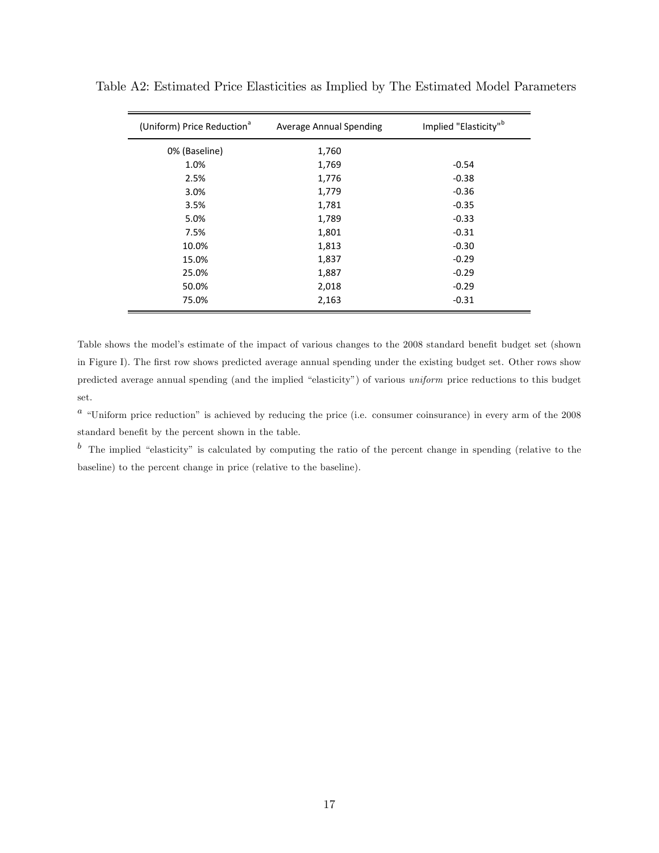| (Uniform) Price Reduction <sup>a</sup> | <b>Average Annual Spending</b> | Implied "Elasticity" <sup>b</sup> |  |
|----------------------------------------|--------------------------------|-----------------------------------|--|
| 0% (Baseline)                          | 1,760                          |                                   |  |
| 1.0%                                   | 1,769                          | $-0.54$                           |  |
| 2.5%                                   | 1,776                          | $-0.38$                           |  |
| 3.0%                                   | 1,779                          | $-0.36$                           |  |
| 3.5%                                   | 1,781                          | $-0.35$                           |  |
| 5.0%                                   | 1,789                          | $-0.33$                           |  |
| 7.5%                                   | 1,801                          | $-0.31$                           |  |
| 10.0%                                  | 1,813                          | $-0.30$                           |  |
| 15.0%                                  | 1,837                          | $-0.29$                           |  |
| 25.0%                                  | 1,887                          | $-0.29$                           |  |
| 50.0%                                  | 2,018                          | $-0.29$                           |  |
| 75.0%                                  | 2,163                          | $-0.31$                           |  |

Table A2: Estimated Price Elasticities as Implied by The Estimated Model Parameters

Table shows the model's estimate of the impact of various changes to the 2008 standard benefit budget set (shown in Figure I). The first row shows predicted average annual spending under the existing budget set. Other rows show predicted average annual spending (and the implied "elasticity") of various uniform price reductions to this budget set.

 $a$  "Uniform price reduction" is achieved by reducing the price (i.e. consumer coinsurance) in every arm of the 2008 standard benefit by the percent shown in the table.

 $\bar{b}$  The implied "elasticity" is calculated by computing the ratio of the percent change in spending (relative to the baseline) to the percent change in price (relative to the baseline).